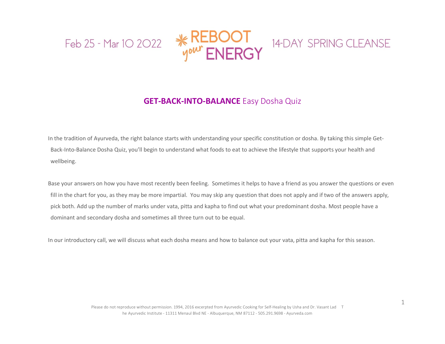





## **GET-BACK-INTO-BALANCE** Easy Dosha Quiz

In the tradition of Ayurveda, the right balance starts with understanding your specific constitution or dosha. By taking this simple Get-Back-Into-Balance Dosha Quiz, you'll begin to understand what foods to eat to achieve the lifestyle that supports your health and wellbeing.

Base your answers on how you have most recently been feeling. Sometimes it helps to have a friend as you answer the questions or even fill in the chart for you, as they may be more impartial. You may skip any question that does not apply and if two of the answers apply, pick both. Add up the number of marks under vata, pitta and kapha to find out what your predominant dosha. Most people have a dominant and secondary dosha and sometimes all three turn out to be equal.

In our introductory call, we will discuss what each dosha means and how to balance out your vata, pitta and kapha for this season.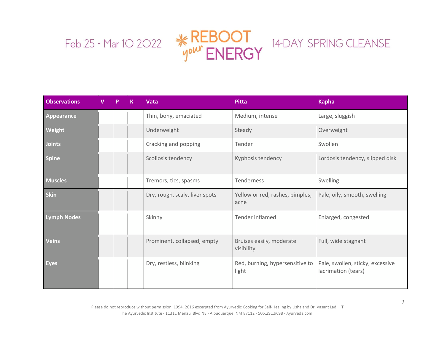

| <b>Observations</b> | P | K | Vata                           | <b>Pitta</b>                             | <b>Kapha</b>                                            |
|---------------------|---|---|--------------------------------|------------------------------------------|---------------------------------------------------------|
| <b>Appearance</b>   |   |   | Thin, bony, emaciated          | Medium, intense                          | Large, sluggish                                         |
| Weight              |   |   | Underweight                    | Steady                                   | Overweight                                              |
| <b>Joints</b>       |   |   | Cracking and popping           | Tender                                   | Swollen                                                 |
| <b>Spine</b>        |   |   | Scoliosis tendency             | Kyphosis tendency                        | Lordosis tendency, slipped disk                         |
| <b>Muscles</b>      |   |   | Tremors, tics, spasms          | Tenderness                               | Swelling                                                |
| <b>Skin</b>         |   |   | Dry, rough, scaly, liver spots | Yellow or red, rashes, pimples,<br>acne  | Pale, oily, smooth, swelling                            |
| <b>Lymph Nodes</b>  |   |   | Skinny                         | Tender inflamed                          | Enlarged, congested                                     |
| <b>Veins</b>        |   |   | Prominent, collapsed, empty    | Bruises easily, moderate<br>visibility   | Full, wide stagnant                                     |
| <b>Eyes</b>         |   |   | Dry, restless, blinking        | Red, burning, hypersensitive to<br>light | Pale, swollen, sticky, excessive<br>lacrimation (tears) |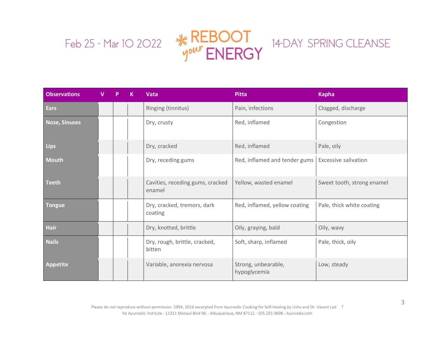

| <b>Observations</b>  | V | p | к | <b>Vata</b>                                | <b>Pitta</b>                        | <b>Kapha</b>                |
|----------------------|---|---|---|--------------------------------------------|-------------------------------------|-----------------------------|
| Ears                 |   |   |   | Ringing (tinnitus)                         | Pain, infections                    | Clogged, discharge          |
| <b>Nose, Sinuses</b> |   |   |   | Dry, crusty                                | Red, inflamed                       | Congestion                  |
| Lips                 |   |   |   | Dry, cracked                               | Red, inflamed                       | Pale, oily                  |
| <b>Mouth</b>         |   |   |   | Dry, receding gums                         | Red, inflamed and tender gums       | <b>Excessive salivation</b> |
| <b>Teeth</b>         |   |   |   | Cavities, receding gums, cracked<br>enamel | Yellow, wasted enamel               | Sweet tooth, strong enamel  |
| <b>Tongue</b>        |   |   |   | Dry, cracked, tremors, dark<br>coating     | Red, inflamed, yellow coating       | Pale, thick white coating   |
| <b>Hair</b>          |   |   |   | Dry, knotted, brittle                      | Oily, graying, bald                 | Oily, wavy                  |
| <b>Nails</b>         |   |   |   | Dry, rough, brittle, cracked,<br>bitten    | Soft, sharp, inflamed               | Pale, thick, oily           |
| <b>Appetite</b>      |   |   |   | Variable, anorexia nervosa                 | Strong, unbearable,<br>hypoglycemia | Low, steady                 |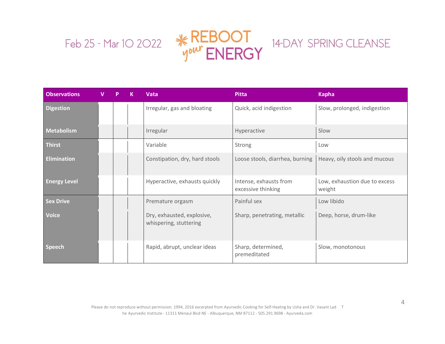

| <b>Observations</b> | v | P | К | Vata                                                 | <b>Pitta</b>                                 | <b>Kapha</b>                            |
|---------------------|---|---|---|------------------------------------------------------|----------------------------------------------|-----------------------------------------|
| <b>Digestion</b>    |   |   |   | Irregular, gas and bloating                          | Quick, acid indigestion                      | Slow, prolonged, indigestion            |
| Metabolism          |   |   |   | Irregular                                            | Hyperactive                                  | Slow                                    |
| Thirst              |   |   |   | Variable                                             | Strong                                       | Low                                     |
| <b>Elimination</b>  |   |   |   | Constipation, dry, hard stools                       | Loose stools, diarrhea, burning              | Heavy, oily stools and mucous           |
| <b>Energy Level</b> |   |   |   | Hyperactive, exhausts quickly                        | Intense, exhausts from<br>excessive thinking | Low, exhaustion due to excess<br>weight |
| <b>Sex Drive</b>    |   |   |   | Premature orgasm                                     | Painful sex                                  | Low libido                              |
| <b>Voice</b>        |   |   |   | Dry, exhausted, explosive,<br>whispering, stuttering | Sharp, penetrating, metallic                 | Deep, horse, drum-like                  |
| <b>Speech</b>       |   |   |   | Rapid, abrupt, unclear ideas                         | Sharp, determined,<br>premeditated           | Slow, monotonous                        |